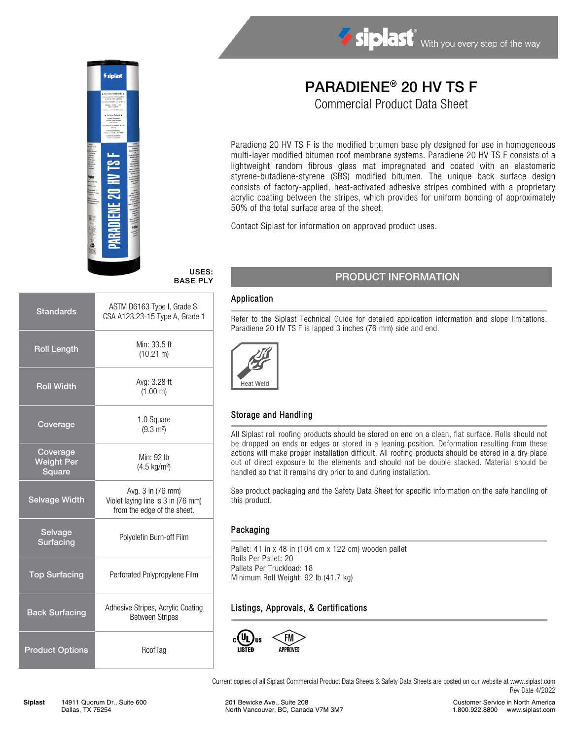

# USES: BASE PLY

| <b>Standards</b>                        | ASTM D6163 Type I, Grade S;<br>CSA A123.23-15 Type A, Grade 1                          |  |
|-----------------------------------------|----------------------------------------------------------------------------------------|--|
| <b>Roll Length</b>                      | Min: 33.5 ft<br>$(10.21 \text{ m})$                                                    |  |
| <b>Roll Width</b>                       | Avg: 3.28 ft<br>(1.00 m)                                                               |  |
| Coverage                                | 1.0 Square<br>$(9.3 \text{ m}^2)$                                                      |  |
| Coverage<br><b>Weight Per</b><br>Square | Min: 92 lb<br>(4.5 kg/m <sup>2</sup> )                                                 |  |
| <b>Selvage Width</b>                    | Avg. 3 in (76 mm)<br>Violet laying line is 3 in (76 mm)<br>from the edge of the sheet. |  |
| Selvage<br><b>Surfacing</b>             | Polyolefin Burn-off Film                                                               |  |
| <b>Top Surfacing</b>                    | Perforated Polypropylene Film                                                          |  |
| <b>Back Surfacing</b>                   | Adhesive Stripes, Acrylic Coating<br><b>Between Stripes</b>                            |  |
| <b>Product Options</b>                  | RoofTag                                                                                |  |

# PARADIENE® 20 HV TS F

Siplast With you every step of the way

Commercial Product Data Sheet

Paradiene 20 HV TS F is the modified bitumen base ply designed for use in homogeneous multi-layer modified bitumen roof membrane systems. Paradiene 20 HV TS F consists of a lightweight random fibrous glass mat impregnated and coated with an elastomeric styrene-butadiene-styrene (SBS) modified bitumen. The unique back surface design consists of factory-applied, heat-activated adhesive stripes combined with a proprietary acrylic coating between the stripes, which provides for uniform bonding of approximately 50% of the total surface area of the sheet.

Contact Siplast for information on approved product uses.

# PRODUCT INFORMATION

#### Application

Refer to the Siplast Technical Guide for detailed application information and slope limitations. Paradiene 20 HV TS F is lapped 3 inches (76 mm) side and end.



## Storage and Handling

All Siplast roll roofing products should be stored on end on a clean, flat surface. Rolls should not be dropped on ends or edges or stored in a leaning position. Deformation resulting from these actions will make proper installation difficult. All roofing products should be stored in a dry place out of direct exposure to the elements and should not be double stacked. Material should be handled so that it remains dry prior to and during installation.

See product packaging and the Safety Data Sheet for specific information on the safe handling of this product.

#### Packaging

Pallet: 41 in x 48 in (104 cm x 122 cm) wooden pallet Rolls Per Pallet: 20 Pallets Per Truckload: 18 Minimum Roll Weight: 92 lb (41.7 kg)

## Listings, Approvals, & Certifications



Current copies of all Siplast Commercial Product Data Sheets & Safety Data Sheets are posted on our website a[t www.siplast.com](http://www.siplast.com/) Rev Date 4/2022

Customer Service in North America 1.800.922.8800 www.siplast.com